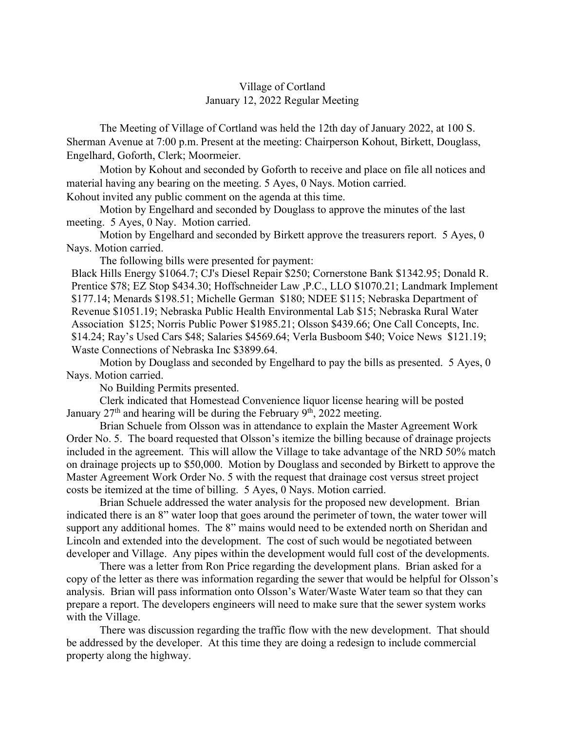## Village of Cortland January 12, 2022 Regular Meeting

The Meeting of Village of Cortland was held the 12th day of January 2022, at 100 S. Sherman Avenue at 7:00 p.m. Present at the meeting: Chairperson Kohout, Birkett, Douglass, Engelhard, Goforth, Clerk; Moormeier.

Motion by Kohout and seconded by Goforth to receive and place on file all notices and material having any bearing on the meeting. 5 Ayes, 0 Nays. Motion carried.

Kohout invited any public comment on the agenda at this time.

Motion by Engelhard and seconded by Douglass to approve the minutes of the last meeting. 5 Ayes, 0 Nay. Motion carried.

Motion by Engelhard and seconded by Birkett approve the treasurers report. 5 Ayes, 0 Nays. Motion carried.

The following bills were presented for payment:

Black Hills Energy \$1064.7; CJ's Diesel Repair \$250; Cornerstone Bank \$1342.95; Donald R. Prentice \$78; EZ Stop \$434.30; Hoffschneider Law ,P.C., LLO \$1070.21; Landmark Implement \$177.14; Menards \$198.51; Michelle German \$180; NDEE \$115; Nebraska Department of Revenue \$1051.19; Nebraska Public Health Environmental Lab \$15; Nebraska Rural Water Association \$125; Norris Public Power \$1985.21; Olsson \$439.66; One Call Concepts, Inc. \$14.24; Ray's Used Cars \$48; Salaries \$4569.64; Verla Busboom \$40; Voice News \$121.19; Waste Connections of Nebraska Inc \$3899.64.

Motion by Douglass and seconded by Engelhard to pay the bills as presented. 5 Ayes, 0 Nays. Motion carried.

No Building Permits presented.

Clerk indicated that Homestead Convenience liquor license hearing will be posted January  $27<sup>th</sup>$  and hearing will be during the February 9<sup>th</sup>, 2022 meeting.

Brian Schuele from Olsson was in attendance to explain the Master Agreement Work Order No. 5. The board requested that Olsson's itemize the billing because of drainage projects included in the agreement. This will allow the Village to take advantage of the NRD 50% match on drainage projects up to \$50,000. Motion by Douglass and seconded by Birkett to approve the Master Agreement Work Order No. 5 with the request that drainage cost versus street project costs be itemized at the time of billing. 5 Ayes, 0 Nays. Motion carried.

Brian Schuele addressed the water analysis for the proposed new development. Brian indicated there is an 8" water loop that goes around the perimeter of town, the water tower will support any additional homes. The 8" mains would need to be extended north on Sheridan and Lincoln and extended into the development. The cost of such would be negotiated between developer and Village. Any pipes within the development would full cost of the developments.

There was a letter from Ron Price regarding the development plans. Brian asked for a copy of the letter as there was information regarding the sewer that would be helpful for Olsson's analysis. Brian will pass information onto Olsson's Water/Waste Water team so that they can prepare a report. The developers engineers will need to make sure that the sewer system works with the Village.

 There was discussion regarding the traffic flow with the new development. That should be addressed by the developer. At this time they are doing a redesign to include commercial property along the highway.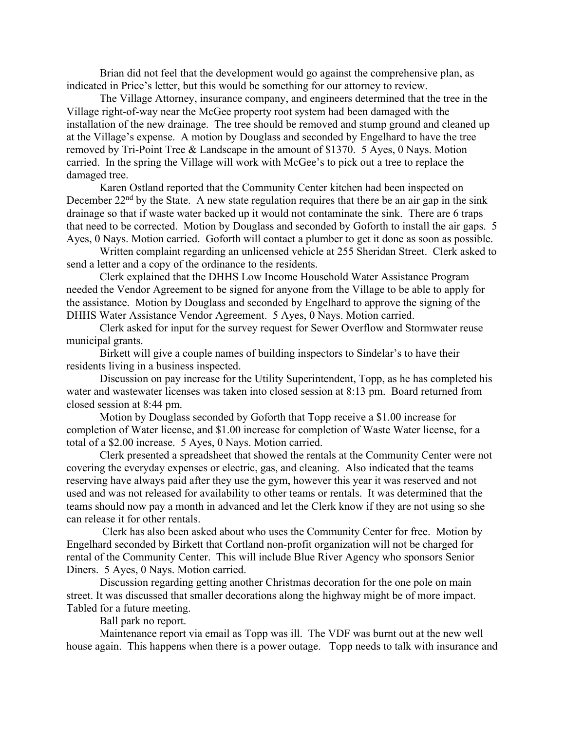Brian did not feel that the development would go against the comprehensive plan, as indicated in Price's letter, but this would be something for our attorney to review.

The Village Attorney, insurance company, and engineers determined that the tree in the Village right-of-way near the McGee property root system had been damaged with the installation of the new drainage. The tree should be removed and stump ground and cleaned up at the Village's expense. A motion by Douglass and seconded by Engelhard to have the tree removed by Tri-Point Tree & Landscape in the amount of \$1370. 5 Ayes, 0 Nays. Motion carried. In the spring the Village will work with McGee's to pick out a tree to replace the damaged tree.

Karen Ostland reported that the Community Center kitchen had been inspected on December  $22<sup>nd</sup>$  by the State. A new state regulation requires that there be an air gap in the sink drainage so that if waste water backed up it would not contaminate the sink. There are 6 traps that need to be corrected. Motion by Douglass and seconded by Goforth to install the air gaps. 5 Ayes, 0 Nays. Motion carried. Goforth will contact a plumber to get it done as soon as possible.

Written complaint regarding an unlicensed vehicle at 255 Sheridan Street. Clerk asked to send a letter and a copy of the ordinance to the residents.

Clerk explained that the DHHS Low Income Household Water Assistance Program needed the Vendor Agreement to be signed for anyone from the Village to be able to apply for the assistance. Motion by Douglass and seconded by Engelhard to approve the signing of the DHHS Water Assistance Vendor Agreement. 5 Ayes, 0 Nays. Motion carried.

Clerk asked for input for the survey request for Sewer Overflow and Stormwater reuse municipal grants.

Birkett will give a couple names of building inspectors to Sindelar's to have their residents living in a business inspected.

Discussion on pay increase for the Utility Superintendent, Topp, as he has completed his water and wastewater licenses was taken into closed session at 8:13 pm. Board returned from closed session at 8:44 pm.

Motion by Douglass seconded by Goforth that Topp receive a \$1.00 increase for completion of Water license, and \$1.00 increase for completion of Waste Water license, for a total of a \$2.00 increase. 5 Ayes, 0 Nays. Motion carried.

Clerk presented a spreadsheet that showed the rentals at the Community Center were not covering the everyday expenses or electric, gas, and cleaning. Also indicated that the teams reserving have always paid after they use the gym, however this year it was reserved and not used and was not released for availability to other teams or rentals. It was determined that the teams should now pay a month in advanced and let the Clerk know if they are not using so she can release it for other rentals.

 Clerk has also been asked about who uses the Community Center for free. Motion by Engelhard seconded by Birkett that Cortland non-profit organization will not be charged for rental of the Community Center. This will include Blue River Agency who sponsors Senior Diners. 5 Ayes, 0 Nays. Motion carried.

Discussion regarding getting another Christmas decoration for the one pole on main street. It was discussed that smaller decorations along the highway might be of more impact. Tabled for a future meeting.

Ball park no report.

Maintenance report via email as Topp was ill. The VDF was burnt out at the new well house again. This happens when there is a power outage. Topp needs to talk with insurance and